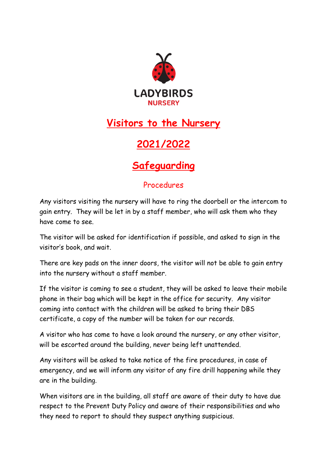

## **Visitors to the Nursery**

## **2021/2022**

## **Safeguarding**

## Procedures

Any visitors visiting the nursery will have to ring the doorbell or the intercom to gain entry. They will be let in by a staff member, who will ask them who they have come to see.

The visitor will be asked for identification if possible, and asked to sign in the visitor's book, and wait.

There are key pads on the inner doors, the visitor will not be able to gain entry into the nursery without a staff member.

If the visitor is coming to see a student, they will be asked to leave their mobile phone in their bag which will be kept in the office for security. Any visitor coming into contact with the children will be asked to bring their DBS certificate, a copy of the number will be taken for our records.

A visitor who has come to have a look around the nursery, or any other visitor, will be escorted around the building, never being left unattended.

Any visitors will be asked to take notice of the fire procedures, in case of emergency, and we will inform any visitor of any fire drill happening while they are in the building.

When visitors are in the building, all staff are aware of their duty to have due respect to the Prevent Duty Policy and aware of their responsibilities and who they need to report to should they suspect anything suspicious.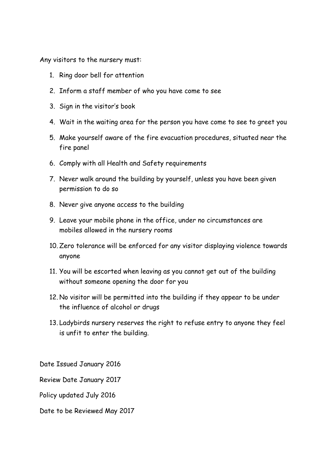Any visitors to the nursery must:

- 1. Ring door bell for attention
- 2. Inform a staff member of who you have come to see
- 3. Sign in the visitor's book
- 4. Wait in the waiting area for the person you have come to see to greet you
- 5. Make yourself aware of the fire evacuation procedures, situated near the fire panel
- 6. Comply with all Health and Safety requirements
- 7. Never walk around the building by yourself, unless you have been given permission to do so
- 8. Never give anyone access to the building
- 9. Leave your mobile phone in the office, under no circumstances are mobiles allowed in the nursery rooms
- 10. Zero tolerance will be enforced for any visitor displaying violence towards anyone
- 11. You will be escorted when leaving as you cannot get out of the building without someone opening the door for you
- 12. No visitor will be permitted into the building if they appear to be under the influence of alcohol or drugs
- 13. Ladybirds nursery reserves the right to refuse entry to anyone they feel is unfit to enter the building.

Date Issued January 2016

Review Date January 2017

Policy updated July 2016

Date to be Reviewed May 2017